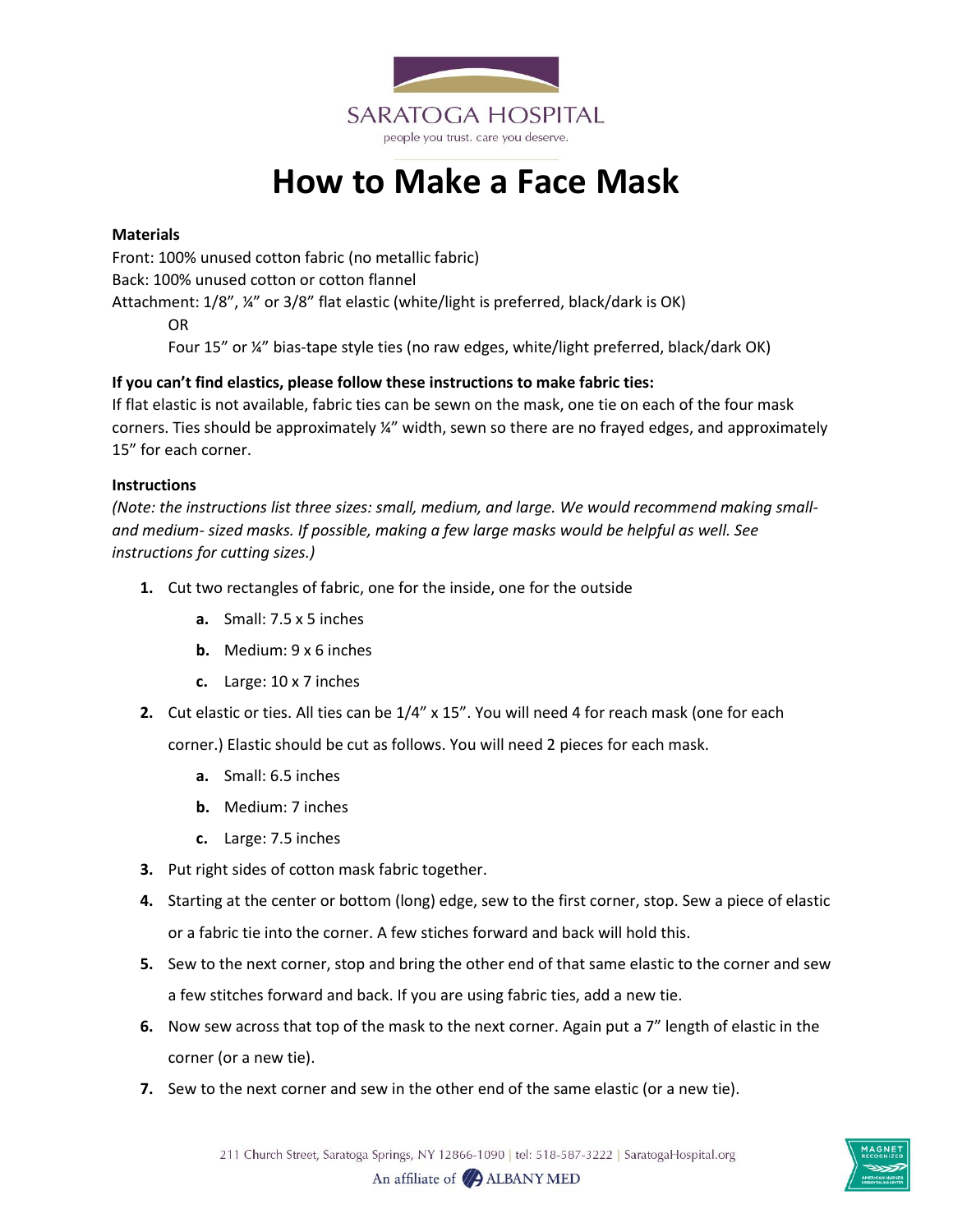

## **How to Make a Face Mask**

## **Materials**

Front: 100% unused cotton fabric (no metallic fabric) Back: 100% unused cotton or cotton flannel

Attachment: 1/8", ¼" or 3/8" flat elastic (white/light is preferred, black/dark is OK)

OR

Four 15" or ¼" bias-tape style ties (no raw edges, white/light preferred, black/dark OK)

## **If you can't find elastics, please follow these instructions to make fabric ties:**

If flat elastic is not available, fabric ties can be sewn on the mask, one tie on each of the four mask corners. Ties should be approximately ¼" width, sewn so there are no frayed edges, and approximately 15" for each corner.

## **Instructions**

*(Note: the instructions list three sizes: small, medium, and large. We would recommend making smalland medium- sized masks. If possible, making a few large masks would be helpful as well. See instructions for cutting sizes.)*

- **1.** Cut two rectangles of fabric, one for the inside, one for the outside
	- **a.** Small: 7.5 x 5 inches
	- **b.** Medium: 9 x 6 inches
	- **c.** Large: 10 x 7 inches
- **2.** Cut elastic or ties. All ties can be 1/4" x 15". You will need 4 for reach mask (one for each

corner.) Elastic should be cut as follows. You will need 2 pieces for each mask.

- **a.** Small: 6.5 inches
- **b.** Medium: 7 inches
- **c.** Large: 7.5 inches
- **3.** Put right sides of cotton mask fabric together.
- **4.** Starting at the center or bottom (long) edge, sew to the first corner, stop. Sew a piece of elastic or a fabric tie into the corner. A few stiches forward and back will hold this.
- **5.** Sew to the next corner, stop and bring the other end of that same elastic to the corner and sew a few stitches forward and back. If you are using fabric ties, add a new tie.
- **6.** Now sew across that top of the mask to the next corner. Again put a 7" length of elastic in the corner (or a new tie).
- **7.** Sew to the next corner and sew in the other end of the same elastic (or a new tie).